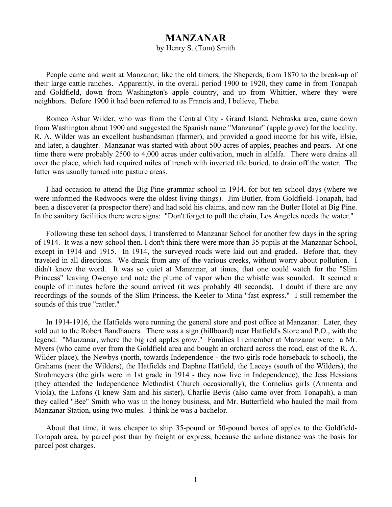## **MANZANAR**

## by Henry S. (Tom) Smith

People came and went at Manzanar; like the old timers, the Sheperds, from 1870 to the break-up of their large cattle ranches. Apparently, in the overall period 1900 to 1920, they came in from Tonapah and Goldfield, down from Washington's apple country, and up from Whittier, where they were neighbors. Before 1900 it had been referred to as Francis and, I believe, Thebe.

Romeo Ashur Wilder, who was from the Central City - Grand Island, Nebraska area, came down from Washington about 1900 and suggested the Spanish name "Manzanar" (apple grove) for the locality. R. A. Wilder was an excellent husbandsman (farmer), and provided a good income for his wife, Elsie, and later, a daughter. Manzanar was started with about 500 acres of apples, peaches and pears. At one time there were probably 2500 to 4,000 acres under cultivation, much in alfalfa. There were drains all over the place, which had required miles of trench with inverted tile buried, to drain off the water. The latter was usually turned into pasture areas.

I had occasion to attend the Big Pine grammar school in 1914, for but ten school days (where we were informed the Redwoods were the oldest living things). Jim Butler, from Goldfield-Tonapah, had been a discoverer (a prospector there) and had sold his claims, and now ran the Butler Hotel at Big Pine. In the sanitary facilities there were signs: "Don't forget to pull the chain, Los Angeles needs the water."

Following these ten school days, I transferred to Manzanar School for another few days in the spring of 1914. It was a new school then. I don't think there were more than 35 pupils at the Manzanar School, except in 1914 and 1915. In 1914, the surveyed roads were laid out and graded. Before that, they traveled in all directions. We drank from any of the various creeks, without worry about pollution. I didn't know the word. It was so quiet at Manzanar, at times, that one could watch for the "Slim Princess" leaving Owenyo and note the plume of vapor when the whistle was sounded. It seemed a couple of minutes before the sound arrived (it was probably 40 seconds). I doubt if there are any recordings of the sounds of the Slim Princess, the Keeler to Mina "fast express." I still remember the sounds of this true "rattler."

In 1914-1916, the Hatfields were running the general store and post office at Manzanar. Later, they sold out to the Robert Bandhauers. There was a sign (billboard) near Hatfield's Store and P.O., with the legend: "Manzanar, where the big red apples grow." Families I remember at Manzanar were: a Mr. Myers (who came over from the Goldfield area and bought an orchard across the road, east of the R. A. Wilder place), the Newbys (north, towards Independence - the two girls rode horseback to school), the Grahams (near the Wilders), the Hatfields and Daphne Hatfield, the Laceys (south of the Wilders), the Strohmeyers (the girls were in 1st grade in 1914 - they now live in Independence), the Jess Hessians (they attended the Independence Methodist Church occasionally), the Cornelius girls (Armenta and Viola), the Lafons (I knew Sam and his sister), Charlie Bevis (also came over from Tonapah), a man they called "Bee" Smith who was in the honey business, and Mr. Butterfield who hauled the mail from Manzanar Station, using two mules. I think he was a bachelor.

About that time, it was cheaper to ship 35-pound or 50-pound boxes of apples to the Goldfield-Tonapah area, by parcel post than by freight or express, because the airline distance was the basis for parcel post charges.